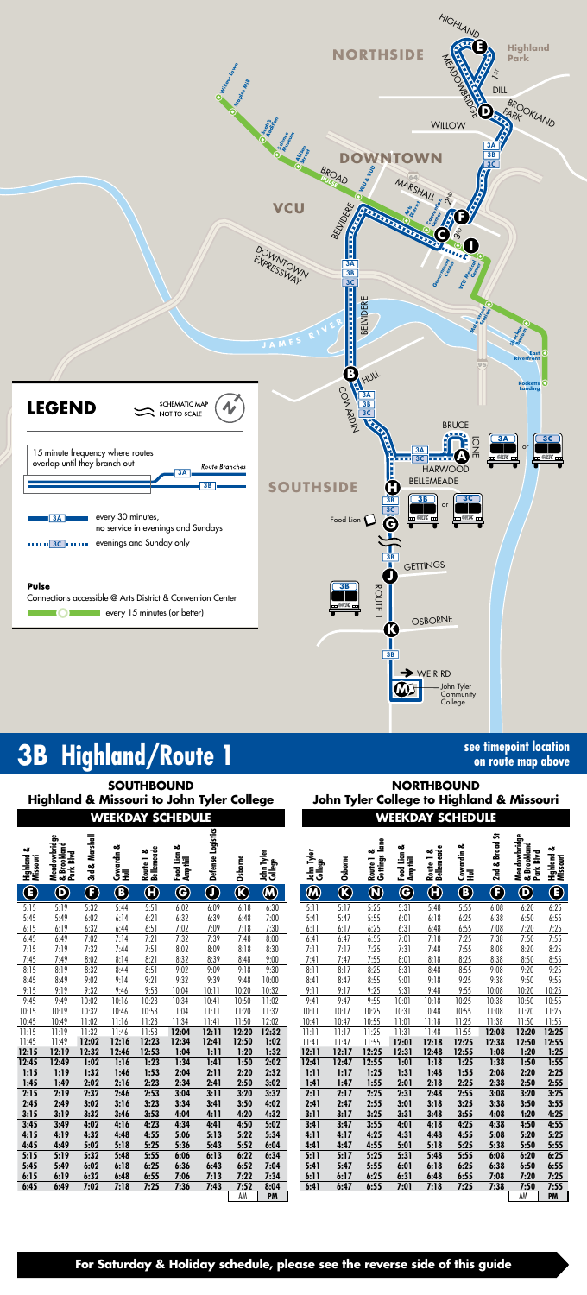

## **3B Highland/Route 1**

## **For Saturday & Holiday schedule, please see the reverse side of this guide**

**on route map above**

|                           |                                          |                      |                    |                                               | <b>SOUTHBOUND</b><br><b>Highland &amp; Missouri to John Tyler College</b> |                   |                                       |                              |                       | John Tyler College to Highland & Missouri |                            |                              |                         | <b>NORTHBOUND</b>       |                |                                             |                             |
|---------------------------|------------------------------------------|----------------------|--------------------|-----------------------------------------------|---------------------------------------------------------------------------|-------------------|---------------------------------------|------------------------------|-----------------------|-------------------------------------------|----------------------------|------------------------------|-------------------------|-------------------------|----------------|---------------------------------------------|-----------------------------|
|                           |                                          |                      |                    |                                               | <b>WEEKDAY SCHEDULE</b>                                                   |                   |                                       |                              |                       |                                           |                            |                              |                         | <b>WEEKDAY SCHEDULE</b> |                |                                             |                             |
| ఱ<br>Highland<br>Missouri | Meadowbridge<br>& Brookland<br>Park Blvd | 3rd & Marshall       | Cowardin &<br>Hull | Route 1 &<br>Bellemeade                       | ఱ<br>Food Lion 4<br>Ampthill                                              | Defense Logistics | Osborne                               | John Tyler<br>College        | John Tyler<br>College | Osborne                                   | Route 1 &<br>Gettings Lane | ఱ<br>Food Lion 4<br>Ampthill | Route 1 &<br>Bellemeade | Cowardin &<br>Hull      | 2nd & Broad St | Meadowbridge<br>& Brookland<br>Blvd<br>Park | ఱ<br>Highland &<br>Missouri |
| $\bigcirc$                | $\mathbf{\Theta}$                        | $\boldsymbol \Theta$ | $\bigcirc$         | $\textcolor{red}{\textcolor{blue}{\bigcirc}}$ | $\bf \Theta$                                                              | $\bigcirc$        | $\overline{\textcircled{\textbf{K}}}$ | $\overline{\mathbf{\Theta}}$ | $\bigcirc$            | $\overline{\textcircled{\textbf{K}}}$     | $\bigcirc$                 | $\bf \widehat{G}$            | $\bm \Theta$            | $\bigcirc$              | $\bf{G}$       | $\boldsymbol{\Theta}$                       | $\bigcirc$                  |
| 5:15                      | 5:19                                     | 5:32                 | 5:44               | 5:51                                          | 6:02                                                                      | 6:09              | 6:18                                  | 6:30                         | 5:11                  | 5:17                                      | 5:25                       | 5:31                         | 5:48                    | 5:55                    | 6:08           | 6:20                                        | 6:25                        |
| 5:45                      | 5:49                                     | 6:02                 | 6:14               | 6:21                                          | 6:32                                                                      | 6:39              | 6:48                                  | 7:00                         | 5:41                  | 5:47                                      | 5:55                       | 6:01                         | 6:18                    | 6:25                    | 6:38           | 6:50                                        | 6:55                        |
| 6:15                      | 6:19                                     | 6:32                 | 6:44               | 6:51                                          | 7:02                                                                      | 7:09              | 7:18                                  | 7:30                         | 6:11                  | 6:17                                      | 6:25                       | 6:31                         | 6:48                    | 6:55                    | 7:08           | 7:20                                        | 7:25                        |
| 6:45                      | 6:49                                     | 7:02                 | 7:14               | 7:21                                          | 7:32                                                                      | 7:39              | 7:48                                  | 8:00                         | 6:41                  | 6:47                                      | 6:55                       | 7:01                         | 7:18                    | 7:25                    | 7:38           | 7:50                                        | 7:55                        |
| 7:15                      | 7:19                                     | 7:32                 | 7:44               | 7:51                                          | 8:02                                                                      | 8:09              | 8:18                                  | 8:30                         | 7:11                  | 7:17                                      | 7:25                       | 7:31                         | 7:48                    | 7:55                    | 8:08           | 8:20                                        | 8:25                        |
| 7:45                      | 7:49                                     | 8:02                 | 8:14               | 8:21                                          | 8:32                                                                      | 8:39              | 8:48                                  | 9:00                         | 7:41                  | 7:47                                      | 7:55                       | 8:01                         | 8:18                    | 8:25                    | 8:38           | 8:50                                        | 8:55                        |
| 8:15                      | 8:19                                     | 8:32                 | 8:44               | 8:51                                          | 9:02                                                                      | 9:09              | 9:18                                  | 9:30                         | 8:11                  | 8:17                                      | 8:25                       | 8:31                         | 8:48                    | 8:55                    | 9:08           | 9:20                                        | 9:25                        |
| 8:45                      | 8:49                                     | 9:02                 | 9:14               | 9:21                                          | 9:32                                                                      | 9:39              | 9:48                                  | 10:00                        | 8:41                  | 8:47                                      | 8:55                       | 9:01                         | 9:18                    | 9:25                    | 9:38           | 9:50                                        | 9:55                        |
| 9:15                      | 9:19                                     | 9:32                 | 9:46               | 9:53                                          | 10:04                                                                     | 10:11             | 10:20                                 | 10:32                        | 9:11                  | 9:17                                      | 9:25                       | 9:31                         | 9:48                    | 9:55                    | 10:08          | 10:20                                       | 10:25                       |
| 9:45                      | 9:49                                     | 10:02                | 10:16              | 10:23                                         | 10:34                                                                     | 10:41             | 10:50                                 | 11:02                        | 9:41                  | 9:47                                      | 9:55                       | 10:01                        | 10:18                   | 10:25                   | 10:38          | 10:50                                       | 10:55                       |
| 10:15                     | 10:19                                    | 10:32                | 10:46              | 10:53                                         | 11:04                                                                     | 11:11             | 11:20                                 | 11:32                        | 10:11                 | 10:17                                     | 10:25                      | 10:31                        | 10:48                   | 10:55                   | 11:08          | 11:20                                       | 11:25                       |
| 10:45                     | 10:49                                    | 11:02                | 11:16              | 11:23                                         | 11:34                                                                     | 11:41             | 11:50                                 | 12:02                        | 10:41                 | 10:47                                     | 10:55                      | 11:01                        | 11:18                   | 11:25                   | 11:38          | 11:50                                       | 11:55                       |
| 11:15                     | 11:19                                    | 11:32                | 11:46              | 11:53                                         | 12:04                                                                     | 12:11             | 12:20                                 | 12:32                        | 11:11                 | 11:17                                     | 11:25                      | 11:31                        | 11:48                   | 11:55                   | 12:08          | 12:20                                       | 12:25                       |
| 11:45                     | 11:49                                    | 12:02                | 12:16              | 12:23                                         | 12:34                                                                     | 12:41             | 12:50                                 | 1:02                         | 11:41                 | 11:47                                     | 11:55                      | 12:01                        | 12:18                   | 12:25                   | 12:38          | 12:50                                       | 12:55                       |
| 12:15                     | 12:19                                    | 12:32                | 12:46              | 12:53                                         | 1:04                                                                      | 1:11              | 1:20                                  | 1:32                         | 12:11                 | 12:17                                     | 12:25                      | 12:31                        | 12:48                   | 12:55                   | 1:08           | 1:20                                        | 1:25                        |
| 12:45                     | 12:49                                    | 1:02                 | 1:16               | 1:23                                          | 1:34                                                                      | 1:41              | 1:50                                  | 2:02                         | 12:41                 | 12:47                                     | 12:55                      | 1:01                         | 1:18                    | 1:25                    | 1:38           | 1:50                                        | 1:55                        |
| 1:15                      | 1:19                                     | 1:32                 | 1:46               | 1:53                                          | 2:04                                                                      | 2:11              | 2:20                                  | 2:32                         | 1:11                  | 1:17                                      | 1:25                       | 1:31                         | 1:48                    | 1:55                    | 2:08           | 2:20                                        | 2:25                        |
| 1:45                      | 1:49                                     | 2:02                 | 2:16               | 2:23                                          | 2:34                                                                      | 2:41              | 2:50                                  | 3:02                         | 1:41                  | 1:47                                      | 1:55                       | 2:01                         | 2:18                    | 2:25                    | 2:38           | 2:50                                        | 2:55                        |
| 2:15                      | 2:19                                     | 2:32                 | 2:46               | 2:53                                          | 3:04                                                                      | 3:11              | 3:20                                  | 3:32                         | 2:11                  | 2:17                                      | 2:25                       | 2:31                         | 2:48                    | 2:55                    | 3:08           | 3:20                                        | 3:25                        |
| 2:45                      | 2:49                                     | 3:02                 | 3:16               | 3:23                                          | 3:34                                                                      | 3:41              | 3:50                                  | 4:02                         | 2:41                  | 2:47                                      | 2:55                       | 3:01                         | 3:18                    | 3:25                    | 3:38           | 3:50                                        | 3:55                        |
| 3:15                      | 3:19                                     | 3:32                 | 3:46               | 3:53                                          | 4:04                                                                      | 4:11              | 4:20                                  | 4:32                         | 3:11                  | 3:17                                      | 3:25                       | 3:31                         | 3:48                    | 3:55                    | 4:08           | 4:20                                        | 4:25                        |
| 3:45                      | 3:49                                     | 4:02                 | 4:16               | 4:23                                          | 4:34                                                                      | 4:41              | 4:50                                  | 5:02                         | 3:41                  | 3:47                                      | 3:55                       | 4:01                         | 4:18                    | 4:25                    | 4:38           | 4:50                                        | 4:55                        |
| 4:15                      | 4:19                                     | 4:32                 | 4:48               | 4:55                                          | 5:06                                                                      | 5:13              | 5:22                                  | 5:34                         | 4:11                  | 4:17                                      | 4:25                       | 4:31                         | 4:48                    | 4:55                    | 5:08           | 5:20                                        | 5:25                        |
| 4:45                      | 4:49                                     | 5:02                 | 5:18               | 5:25                                          | 5:36                                                                      | 5:43              | 5:52                                  | 6:04                         | 4:41                  | 4:47                                      | 4:55                       | 5:01                         | 5:18                    | 5:25                    | 5:38           | 5:50                                        | 5:55                        |
| 5:15                      | 5:19                                     | 5:32                 | 5:48               | 5:55                                          | 6:06                                                                      | 6:13              | 6:22                                  | 6:34                         | 5:11                  | 5:17                                      | 5:25                       | 5:31                         | 5:48                    | 5:55                    | 6:08           | 6:20                                        | 6:25                        |
| 5:45                      | 5:49                                     | 6:02                 | 6:18               | 6:25                                          | 6:36                                                                      | 6:43              | 6:52                                  | 7:04                         | 5:41                  | 5:47                                      | 5:55                       | 6:01                         | 6:18                    | 6:25                    | 6:38           | 6:50                                        | 6:55                        |
| 6:15<br>6:45              | 6:19<br>6:49                             | 6:32<br>7:02         | 6:48<br>7:18       | 6:55<br>7:25                                  | 7:06<br>7:36                                                              | 7:13<br>7:43      | 7:22<br>7:52<br>AM                    | 7:34<br>8:04<br><b>PM</b>    | 6:11<br>6:41          | 6:17<br>6:47                              | 6:25<br>6:55               | 6:31<br>7:01                 | 6:48<br>7:18            | 6:55<br>7:25            | 7:08<br>7:38   | 7:20<br>7:50<br>AM                          | 7:25<br>7:55<br>PM          |